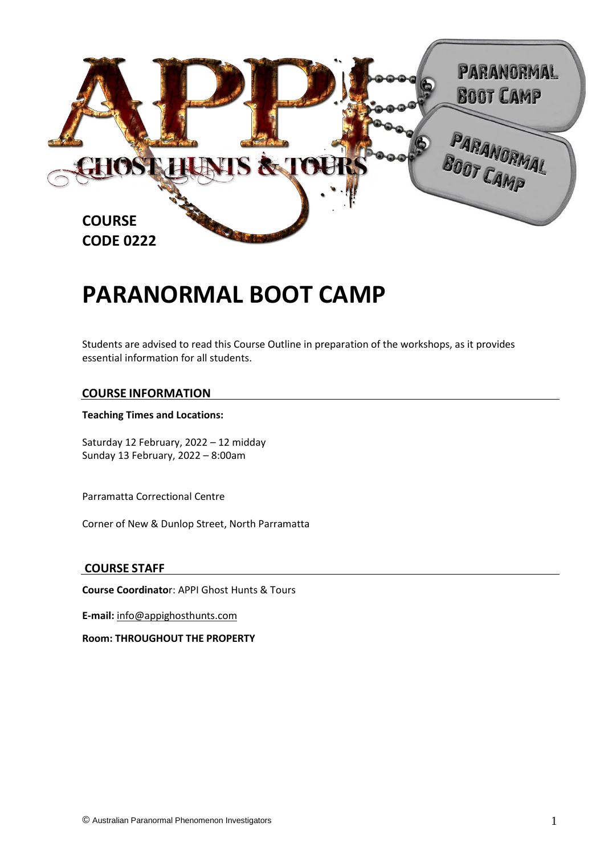

# **PARANORMAL BOOT CAMP**

Students are advised to read this Course Outline in preparation of the workshops, as it provides essential information for all students.

#### **COURSE INFORMATION**

#### **Teaching Times and Locations:**

Saturday 12 February, 2022 – 12 midday Sunday 13 February, 2022 – 8:00am

Parramatta Correctional Centre

Corner of New & Dunlop Street, North Parramatta

#### **COURSE STAFF**

**Course Coordinato**r: APPI Ghost Hunts & Tours

**E-mail:** info@appighosthunts.com

**Room: THROUGHOUT THE PROPERTY**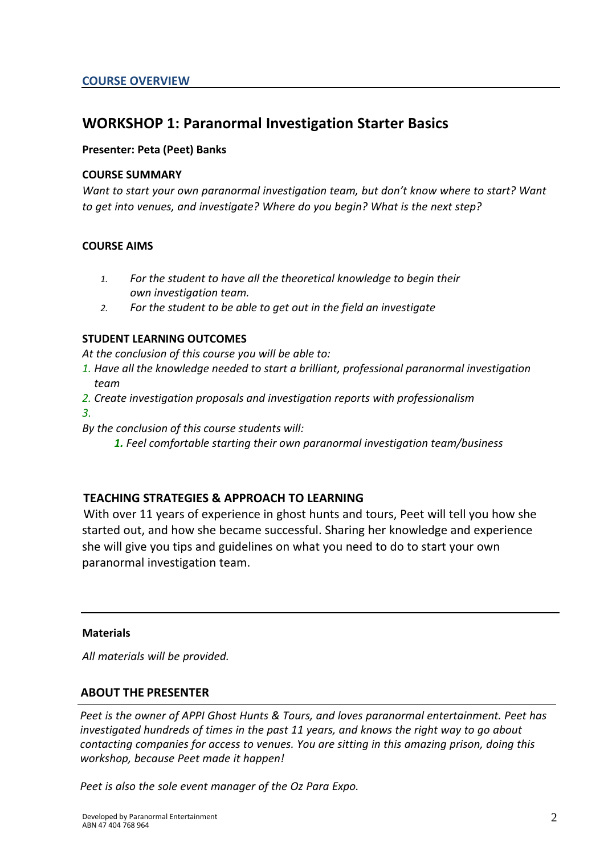# **WORKSHOP 1: Paranormal Investigation Starter Basics**

#### **Presenter: Peta (Peet) Banks**

#### **COURSE SUMMARY**

*Want to start your own paranormal investigation team, but don't know where to start? Want to get into venues, and investigate? Where do you begin? What is the next step?* 

#### **COURSE AIMS**

- *1. For the student to have all the theoretical knowledge to begin their own investigation team.*
- *2. For the student to be able to get out in the field an investigate*

#### **STUDENT LEARNING OUTCOMES**

*At the conclusion of this course you will be able to:*

- *1. Have all the knowledge needed to start a brilliant, professional paranormal investigation team*
- *2. Create investigation proposals and investigation reports with professionalism 3.*
- *By the conclusion of this course students will:*
	- *1. Feel comfortable starting their own paranormal investigation team/business*

#### **TEACHING STRATEGIES & APPROACH TO LEARNING**

With over 11 years of experience in ghost hunts and tours, Peet will tell you how she started out, and how she became successful. Sharing her knowledge and experience she will give you tips and guidelines on what you need to do to start your own paranormal investigation team.

#### **Materials**

*All materials will be provided.*

#### **ABOUT THE PRESENTER**

*Peet is the owner of APPI Ghost Hunts & Tours, and loves paranormal entertainment. Peet has investigated hundreds of times in the past 11 years, and knows the right way to go about contacting companies for access to venues. You are sitting in this amazing prison, doing this workshop, because Peet made it happen!*

*Peet is also the sole event manager of the Oz Para Expo.*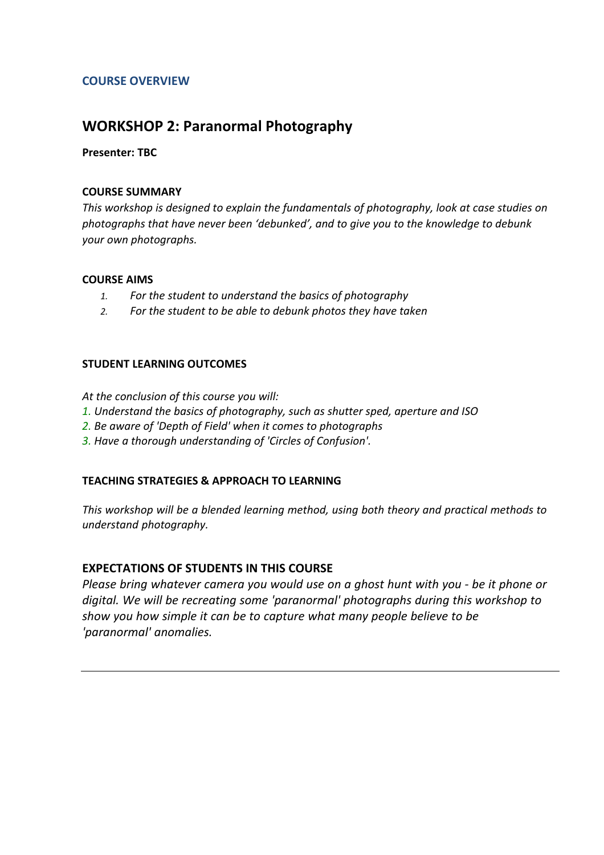#### **COURSE OVERVIEW**

## **WORKSHOP 2: Paranormal Photography**

#### **Presenter: TBC**

#### **COURSE SUMMARY**

*This workshop is designed to explain the fundamentals of photography, look at case studies on photographs that have never been 'debunked', and to give you to the knowledge to debunk your own photographs.*

#### **COURSE AIMS**

- *1. For the student to understand the basics of photography*
- *2. For the student to be able to debunk photos they have taken*

#### **STUDENT LEARNING OUTCOMES**

*At the conclusion of this course you will:*

- *1. Understand the basics of photography, such as shutter sped, aperture and ISO*
- *2. Be aware of 'Depth of Field' when it comes to photographs*
- *3. Have a thorough understanding of 'Circles of Confusion'.*

#### **TEACHING STRATEGIES & APPROACH TO LEARNING**

*This workshop will be a blended learning method, using both theory and practical methods to understand photography.* 

#### **EXPECTATIONS OF STUDENTS IN THIS COURSE**

*Please bring whatever camera you would use on a ghost hunt with you - be it phone or digital. We will be recreating some 'paranormal' photographs during this workshop to show you how simple it can be to capture what many people believe to be 'paranormal' anomalies.*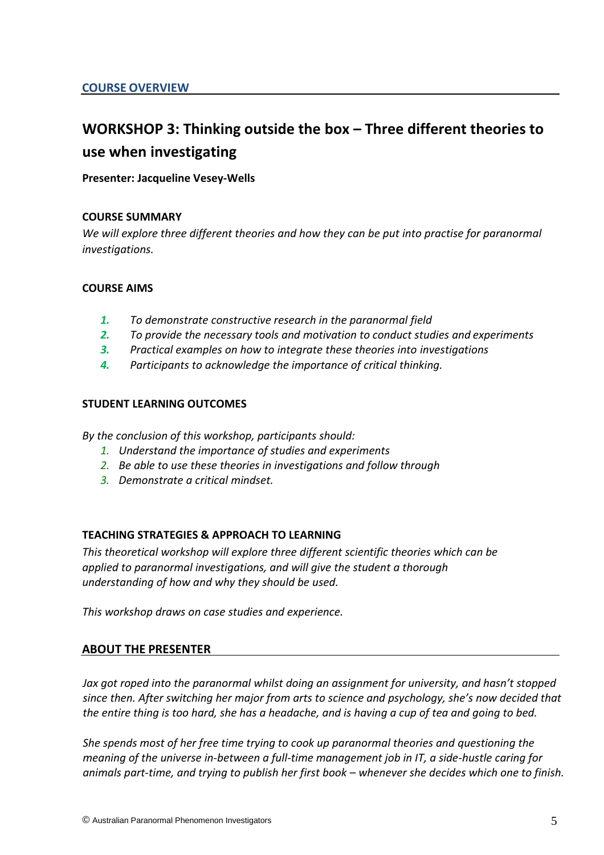# **WORKSHOP 3: Thinking outside the box – Three different theories to use when investigating**

#### **Presenter: Jacqueline Vesey-Wells**

#### **COURSE SUMMARY**

*We will explore three different theories and how they can be put into practise for paranormal investigations.* 

#### **COURSE AIMS**

- *1. To demonstrate constructive research in the paranormal field*
- *2. To provide the necessary tools and motivation to conduct studies and experiments*
- *3. Practical examples on how to integrate these theories into investigations*
- *4. Participants to acknowledge the importance of critical thinking.*

#### **STUDENT LEARNING OUTCOMES**

*By the conclusion of this workshop, participants should:*

- *1. Understand the importance of studies and experiments*
- *2. Be able to use these theories in investigations and follow through*
- *3. Demonstrate a critical mindset.*

#### **TEACHING STRATEGIES & APPROACH TO LEARNING**

*This theoretical workshop will explore three different scientific theories which can be applied to paranormal investigations, and will give the student a thorough understanding of how and why they should be used.*

*This workshop draws on case studies and experience.*

#### **ABOUT THE PRESENTER**

*Jax got roped into the paranormal whilst doing an assignment for university, and hasn't stopped since then. After switching her major from arts to science and psychology, she's now decided that the entire thing is too hard, she has a headache, and is having a cup of tea and going to bed.*

*She spends most of her free time trying to cook up paranormal theories and questioning the meaning of the universe in-between a full-time management job in IT, a side-hustle caring for animals part-time, and trying to publish her first book – whenever she decides which one to finish.*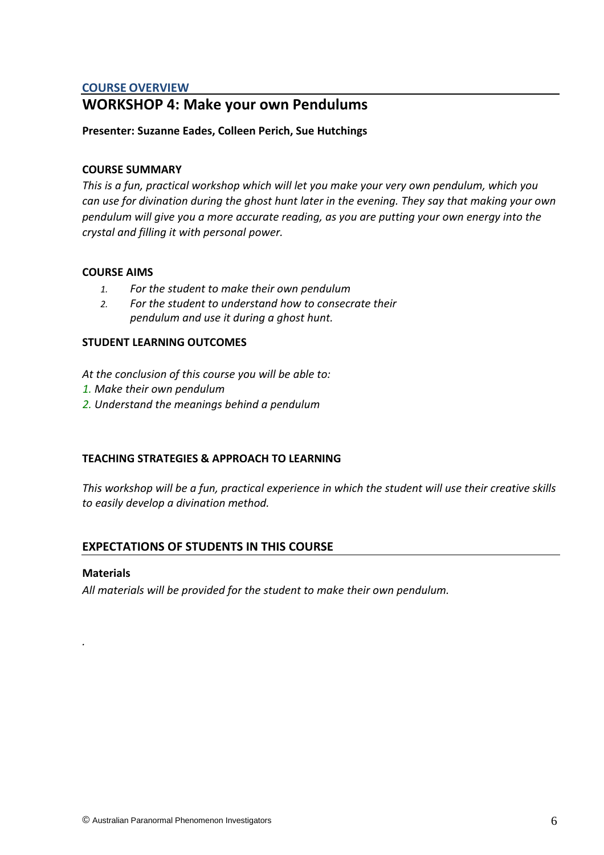#### **COURSE OVERVIEW**

# **WORKSHOP 4: Make your own Pendulums**

#### **Presenter: Suzanne Eades, Colleen Perich, Sue Hutchings**

#### **COURSE SUMMARY**

*This is a fun, practical workshop which will let you make your very own pendulum, which you can use for divination during the ghost hunt later in the evening. They say that making your own pendulum will give you a more accurate reading, as you are putting your own energy into the crystal and filling it with personal power.* 

#### **COURSE AIMS**

- *1. For the student to make their own pendulum*
- *2. For the student to understand how to consecrate their pendulum and use it during a ghost hunt.*

#### **STUDENT LEARNING OUTCOMES**

*At the conclusion of this course you will be able to:*

- *1. Make their own pendulum*
- *2. Understand the meanings behind a pendulum*

#### **TEACHING STRATEGIES & APPROACH TO LEARNING**

*This workshop will be a fun, practical experience in which the student will use their creative skills to easily develop a divination method.*

#### **EXPECTATIONS OF STUDENTS IN THIS COURSE**

#### **Materials**

*.* 

*All materials will be provided for the student to make their own pendulum.*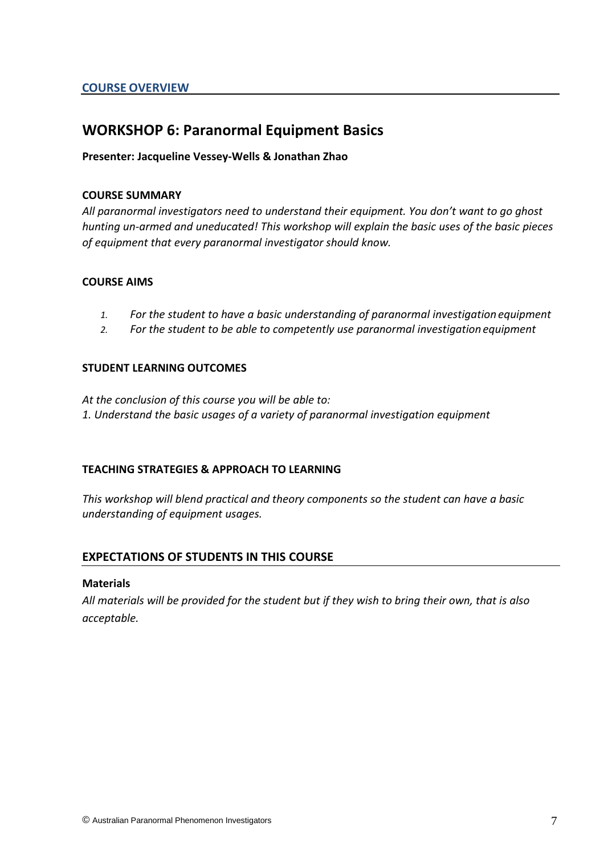### **WORKSHOP 6: Paranormal Equipment Basics**

#### **Presenter: Jacqueline Vessey-Wells & Jonathan Zhao**

#### **COURSE SUMMARY**

*All paranormal investigators need to understand their equipment. You don't want to go ghost hunting un-armed and uneducated! This workshop will explain the basic uses of the basic pieces of equipment that every paranormal investigator should know.* 

#### **COURSE AIMS**

- *1. For the student to have a basic understanding of paranormal investigation equipment*
- *2. For the student to be able to competently use paranormal investigation equipment*

#### **STUDENT LEARNING OUTCOMES**

*At the conclusion of this course you will be able to: 1. Understand the basic usages of a variety of paranormal investigation equipment*

#### **TEACHING STRATEGIES & APPROACH TO LEARNING**

*This workshop will blend practical and theory components so the student can have a basic understanding of equipment usages.*

#### **EXPECTATIONS OF STUDENTS IN THIS COURSE**

#### **Materials**

*All materials will be provided for the student but if they wish to bring their own, that is also acceptable.*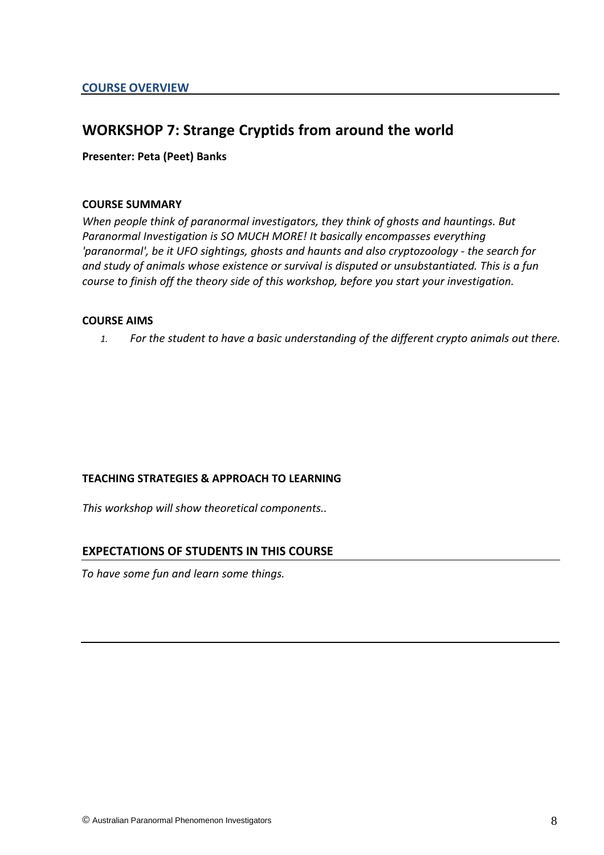## **WORKSHOP 7: Strange Cryptids from around the world**

#### **Presenter: Peta (Peet) Banks**

#### **COURSE SUMMARY**

*When people think of paranormal investigators, they think of ghosts and hauntings. But Paranormal Investigation is SO MUCH MORE! It basically encompasses everything 'paranormal', be it UFO sightings, ghosts and haunts and also cryptozoology - the search for and study of animals whose existence or survival is disputed or unsubstantiated. This is a fun course to finish off the theory side of this workshop, before you start your investigation.*

#### **COURSE AIMS**

*1. For the student to have a basic understanding of the different crypto animals out there.*

#### **TEACHING STRATEGIES & APPROACH TO LEARNING**

*This workshop will show theoretical components..* 

#### **EXPECTATIONS OF STUDENTS IN THIS COURSE**

*To have some fun and learn some things.*